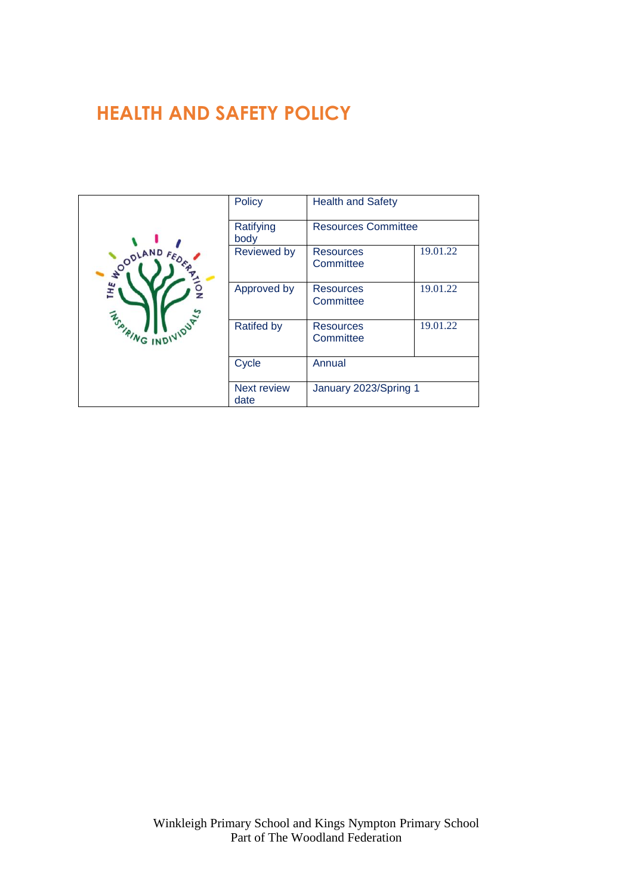# **HEALTH AND SAFETY POLICY**

| <b>SOODLAND FED.</b><br>ĩН£<br><b>ASAIRING INDIVIDUAL</b> | Policy                     | <b>Health and Safety</b>      |          |
|-----------------------------------------------------------|----------------------------|-------------------------------|----------|
|                                                           | Ratifying<br>body          | <b>Resources Committee</b>    |          |
|                                                           | <b>Reviewed by</b>         | <b>Resources</b><br>Committee | 19.01.22 |
|                                                           | Approved by                | <b>Resources</b><br>Committee | 19.01.22 |
|                                                           | <b>Ratifed by</b>          | <b>Resources</b><br>Committee | 19.01.22 |
|                                                           | Cycle                      | Annual                        |          |
|                                                           | <b>Next review</b><br>date | January 2023/Spring 1         |          |

Winkleigh Primary School and Kings Nympton Primary School Part of The Woodland Federation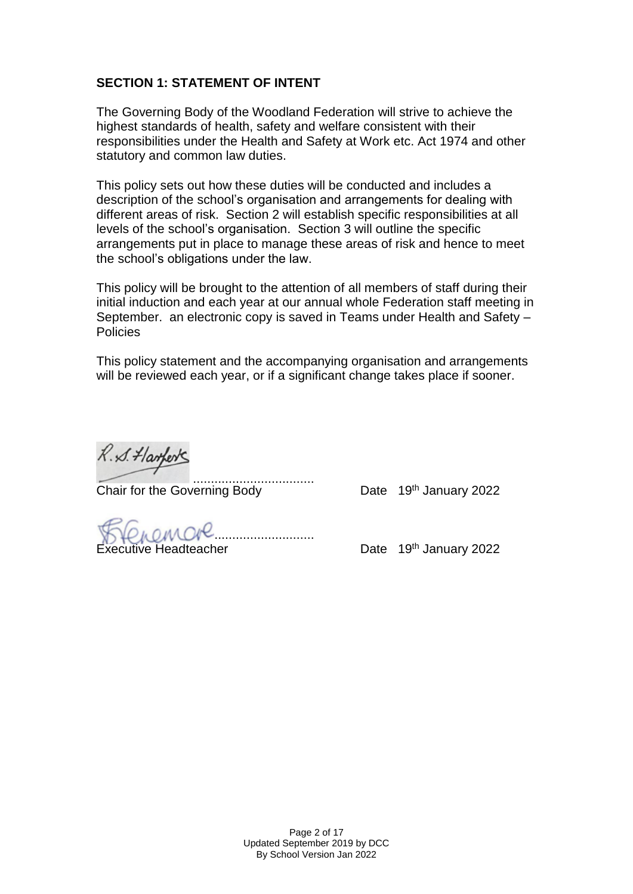# **SECTION 1: STATEMENT OF INTENT**

The Governing Body of the Woodland Federation will strive to achieve the highest standards of health, safety and welfare consistent with their responsibilities under the Health and Safety at Work etc. Act 1974 and other statutory and common law duties.

This policy sets out how these duties will be conducted and includes a description of the school's organisation and arrangements for dealing with different areas of risk. Section 2 will establish specific responsibilities at all levels of the school's organisation. Section 3 will outline the specific arrangements put in place to manage these areas of risk and hence to meet the school's obligations under the law.

This policy will be brought to the attention of all members of staff during their initial induction and each year at our annual whole Federation staff meeting in September. an electronic copy is saved in Teams under Health and Safety – Policies

This policy statement and the accompanying organisation and arrangements will be reviewed each year, or if a significant change takes place if sooner.

R. S. Harferts

.................................. Chair for the Governing Body Date 19th January 2022

.............................................................

Executive Headteacher **Executive Headteacher Date** 19th January 2022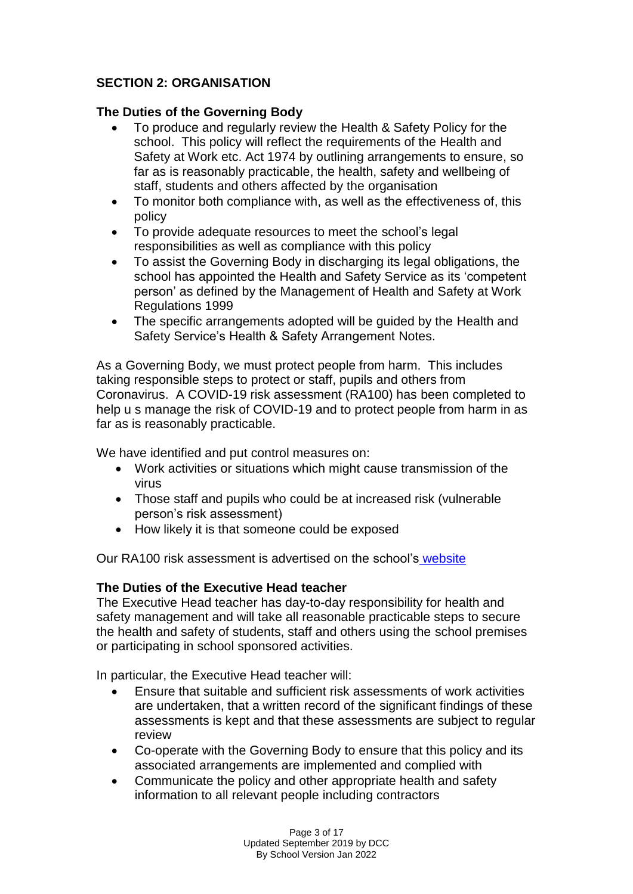# **SECTION 2: ORGANISATION**

## **The Duties of the Governing Body**

- To produce and regularly review the Health & Safety Policy for the school. This policy will reflect the requirements of the Health and Safety at Work etc. Act 1974 by outlining arrangements to ensure, so far as is reasonably practicable, the health, safety and wellbeing of staff, students and others affected by the organisation
- To monitor both compliance with, as well as the effectiveness of, this policy
- To provide adequate resources to meet the school's legal responsibilities as well as compliance with this policy
- To assist the Governing Body in discharging its legal obligations, the school has appointed the Health and Safety Service as its 'competent person' as defined by the Management of Health and Safety at Work Regulations 1999
- The specific arrangements adopted will be quided by the Health and Safety Service's Health & Safety Arrangement Notes.

As a Governing Body, we must protect people from harm. This includes taking responsible steps to protect or staff, pupils and others from Coronavirus. A COVID-19 risk assessment (RA100) has been completed to help u s manage the risk of COVID-19 and to protect people from harm in as far as is reasonably practicable.

We have identified and put control measures on:

- Work activities or situations which might cause transmission of the virus
- Those staff and pupils who could be at increased risk (vulnerable person's risk assessment)
- How likely it is that someone could be exposed

Our RA100 risk assessment is advertised on the school's [website](https://www.woodlandfederation.org.uk/)

# **The Duties of the Executive Head teacher**

The Executive Head teacher has day-to-day responsibility for health and safety management and will take all reasonable practicable steps to secure the health and safety of students, staff and others using the school premises or participating in school sponsored activities.

In particular, the Executive Head teacher will:

- Ensure that suitable and sufficient risk assessments of work activities are undertaken, that a written record of the significant findings of these assessments is kept and that these assessments are subject to regular review
- Co-operate with the Governing Body to ensure that this policy and its associated arrangements are implemented and complied with
- Communicate the policy and other appropriate health and safety information to all relevant people including contractors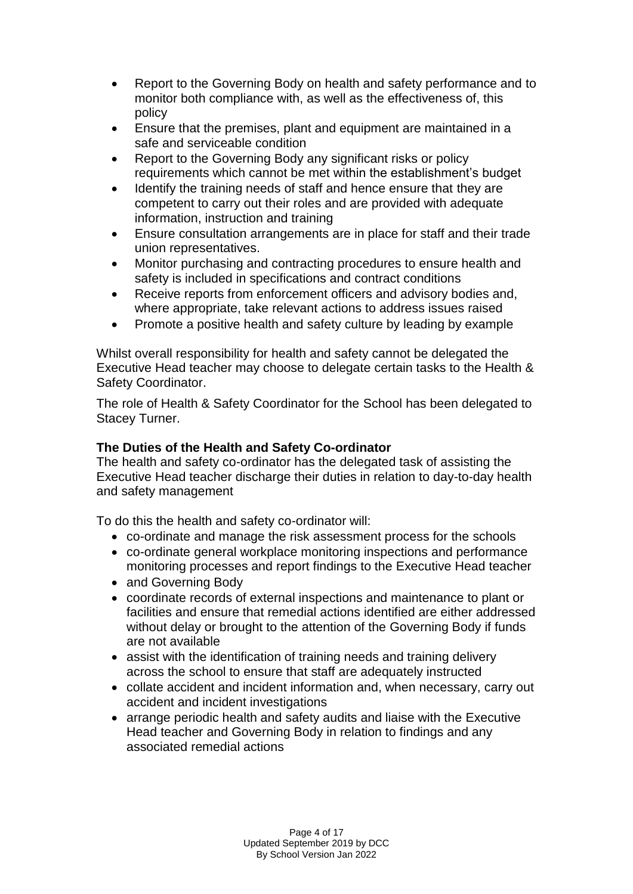- Report to the Governing Body on health and safety performance and to monitor both compliance with, as well as the effectiveness of, this policy
- Ensure that the premises, plant and equipment are maintained in a safe and serviceable condition
- Report to the Governing Body any significant risks or policy requirements which cannot be met within the establishment's budget
- Identify the training needs of staff and hence ensure that they are competent to carry out their roles and are provided with adequate information, instruction and training
- Ensure consultation arrangements are in place for staff and their trade union representatives.
- Monitor purchasing and contracting procedures to ensure health and safety is included in specifications and contract conditions
- Receive reports from enforcement officers and advisory bodies and, where appropriate, take relevant actions to address issues raised
- Promote a positive health and safety culture by leading by example

Whilst overall responsibility for health and safety cannot be delegated the Executive Head teacher may choose to delegate certain tasks to the Health & Safety Coordinator.

The role of Health & Safety Coordinator for the School has been delegated to Stacey Turner.

# **The Duties of the Health and Safety Co-ordinator**

The health and safety co-ordinator has the delegated task of assisting the Executive Head teacher discharge their duties in relation to day-to-day health and safety management

To do this the health and safety co-ordinator will:

- co-ordinate and manage the risk assessment process for the schools
- co-ordinate general workplace monitoring inspections and performance monitoring processes and report findings to the Executive Head teacher
- and Governing Body
- coordinate records of external inspections and maintenance to plant or facilities and ensure that remedial actions identified are either addressed without delay or brought to the attention of the Governing Body if funds are not available
- assist with the identification of training needs and training delivery across the school to ensure that staff are adequately instructed
- collate accident and incident information and, when necessary, carry out accident and incident investigations
- arrange periodic health and safety audits and liaise with the Executive Head teacher and Governing Body in relation to findings and any associated remedial actions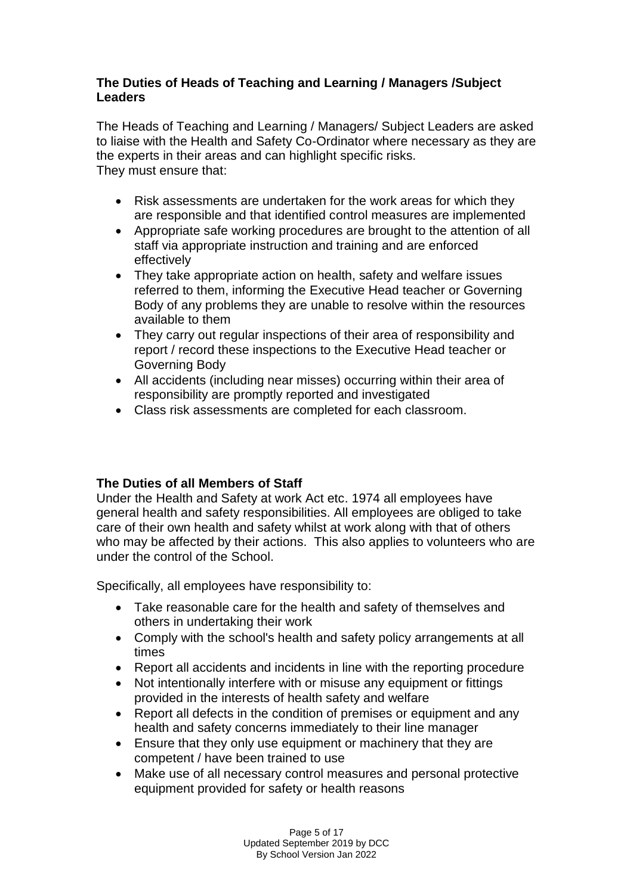# **The Duties of Heads of Teaching and Learning / Managers /Subject Leaders**

The Heads of Teaching and Learning / Managers/ Subject Leaders are asked to liaise with the Health and Safety Co-Ordinator where necessary as they are the experts in their areas and can highlight specific risks. They must ensure that:

- Risk assessments are undertaken for the work areas for which they are responsible and that identified control measures are implemented
- Appropriate safe working procedures are brought to the attention of all staff via appropriate instruction and training and are enforced effectively
- They take appropriate action on health, safety and welfare issues referred to them, informing the Executive Head teacher or Governing Body of any problems they are unable to resolve within the resources available to them
- They carry out regular inspections of their area of responsibility and report / record these inspections to the Executive Head teacher or Governing Body
- All accidents (including near misses) occurring within their area of responsibility are promptly reported and investigated
- Class risk assessments are completed for each classroom.

# **The Duties of all Members of Staff**

Under the Health and Safety at work Act etc. 1974 all employees have general health and safety responsibilities. All employees are obliged to take care of their own health and safety whilst at work along with that of others who may be affected by their actions. This also applies to volunteers who are under the control of the School.

Specifically, all employees have responsibility to:

- Take reasonable care for the health and safety of themselves and others in undertaking their work
- Comply with the school's health and safety policy arrangements at all times
- Report all accidents and incidents in line with the reporting procedure
- Not intentionally interfere with or misuse any equipment or fittings provided in the interests of health safety and welfare
- Report all defects in the condition of premises or equipment and any health and safety concerns immediately to their line manager
- Ensure that they only use equipment or machinery that they are competent / have been trained to use
- Make use of all necessary control measures and personal protective equipment provided for safety or health reasons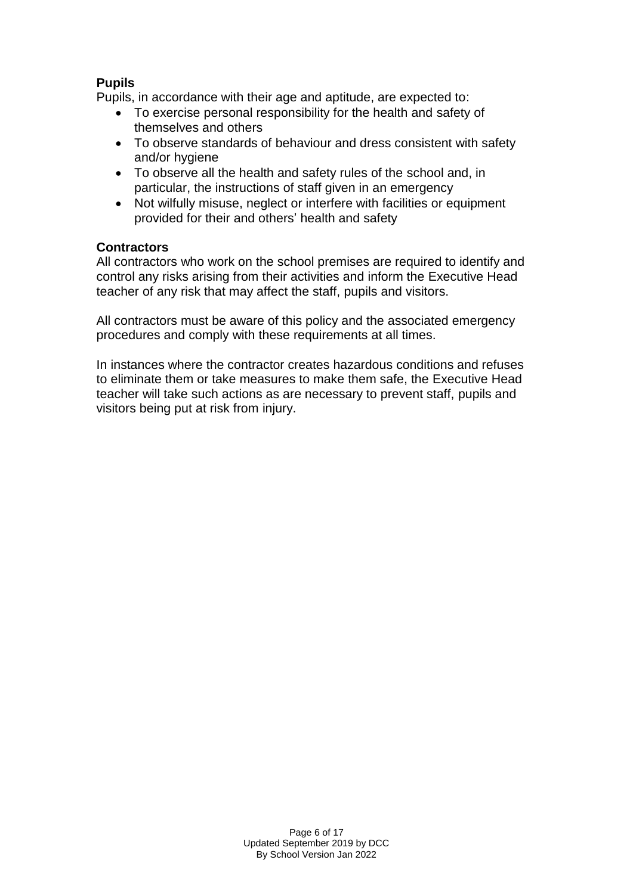# **Pupils**

Pupils, in accordance with their age and aptitude, are expected to:

- To exercise personal responsibility for the health and safety of themselves and others
- To observe standards of behaviour and dress consistent with safety and/or hygiene
- To observe all the health and safety rules of the school and, in particular, the instructions of staff given in an emergency
- Not wilfully misuse, neglect or interfere with facilities or equipment provided for their and others' health and safety

## **Contractors**

All contractors who work on the school premises are required to identify and control any risks arising from their activities and inform the Executive Head teacher of any risk that may affect the staff, pupils and visitors.

All contractors must be aware of this policy and the associated emergency procedures and comply with these requirements at all times.

In instances where the contractor creates hazardous conditions and refuses to eliminate them or take measures to make them safe, the Executive Head teacher will take such actions as are necessary to prevent staff, pupils and visitors being put at risk from injury.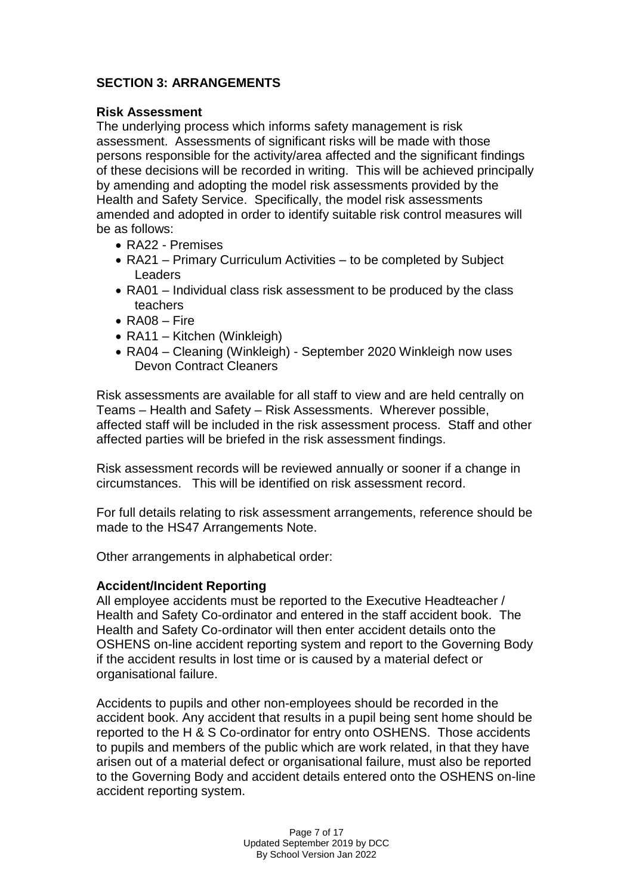# **SECTION 3: ARRANGEMENTS**

## **Risk Assessment**

The underlying process which informs safety management is risk assessment. Assessments of significant risks will be made with those persons responsible for the activity/area affected and the significant findings of these decisions will be recorded in writing. This will be achieved principally by amending and adopting the model risk assessments provided by the Health and Safety Service. Specifically, the model risk assessments amended and adopted in order to identify suitable risk control measures will be as follows:

- RA22 Premises
- RA21 Primary Curriculum Activities to be completed by Subject **Leaders**
- RA01 Individual class risk assessment to be produced by the class teachers
- RA08 Fire
- RA11 Kitchen (Winkleigh)
- RA04 Cleaning (Winkleigh) September 2020 Winkleigh now uses Devon Contract Cleaners

Risk assessments are available for all staff to view and are held centrally on Teams – Health and Safety – Risk Assessments. Wherever possible, affected staff will be included in the risk assessment process. Staff and other affected parties will be briefed in the risk assessment findings.

Risk assessment records will be reviewed annually or sooner if a change in circumstances. This will be identified on risk assessment record.

For full details relating to risk assessment arrangements, reference should be made to the HS47 Arrangements Note.

Other arrangements in alphabetical order:

#### **Accident/Incident Reporting**

All employee accidents must be reported to the Executive Headteacher / Health and Safety Co-ordinator and entered in the staff accident book. The Health and Safety Co-ordinator will then enter accident details onto the OSHENS on-line accident reporting system and report to the Governing Body if the accident results in lost time or is caused by a material defect or organisational failure.

Accidents to pupils and other non-employees should be recorded in the accident book. Any accident that results in a pupil being sent home should be reported to the H & S Co-ordinator for entry onto OSHENS. Those accidents to pupils and members of the public which are work related, in that they have arisen out of a material defect or organisational failure, must also be reported to the Governing Body and accident details entered onto the OSHENS on-line accident reporting system.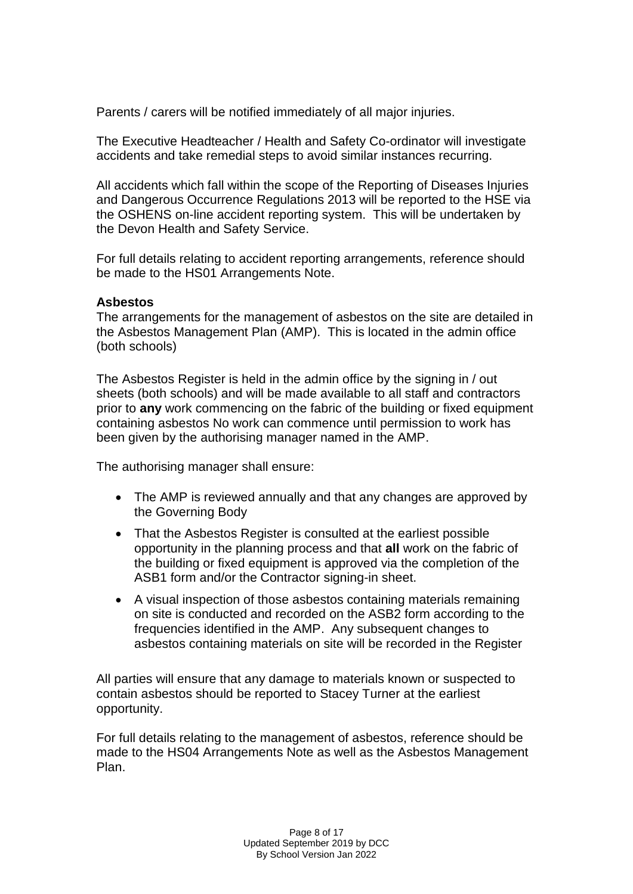Parents / carers will be notified immediately of all major injuries.

The Executive Headteacher / Health and Safety Co-ordinator will investigate accidents and take remedial steps to avoid similar instances recurring.

All accidents which fall within the scope of the Reporting of Diseases Injuries and Dangerous Occurrence Regulations 2013 will be reported to the HSE via the OSHENS on-line accident reporting system. This will be undertaken by the Devon Health and Safety Service.

For full details relating to accident reporting arrangements, reference should be made to the HS01 Arrangements Note.

#### **Asbestos**

The arrangements for the management of asbestos on the site are detailed in the Asbestos Management Plan (AMP). This is located in the admin office (both schools)

The Asbestos Register is held in the admin office by the signing in / out sheets (both schools) and will be made available to all staff and contractors prior to **any** work commencing on the fabric of the building or fixed equipment containing asbestos No work can commence until permission to work has been given by the authorising manager named in the AMP.

The authorising manager shall ensure:

- The AMP is reviewed annually and that any changes are approved by the Governing Body
- That the Asbestos Register is consulted at the earliest possible opportunity in the planning process and that **all** work on the fabric of the building or fixed equipment is approved via the completion of the ASB1 form and/or the Contractor signing-in sheet.
- A visual inspection of those asbestos containing materials remaining on site is conducted and recorded on the ASB2 form according to the frequencies identified in the AMP. Any subsequent changes to asbestos containing materials on site will be recorded in the Register

All parties will ensure that any damage to materials known or suspected to contain asbestos should be reported to Stacey Turner at the earliest opportunity.

For full details relating to the management of asbestos, reference should be made to the HS04 Arrangements Note as well as the Asbestos Management Plan.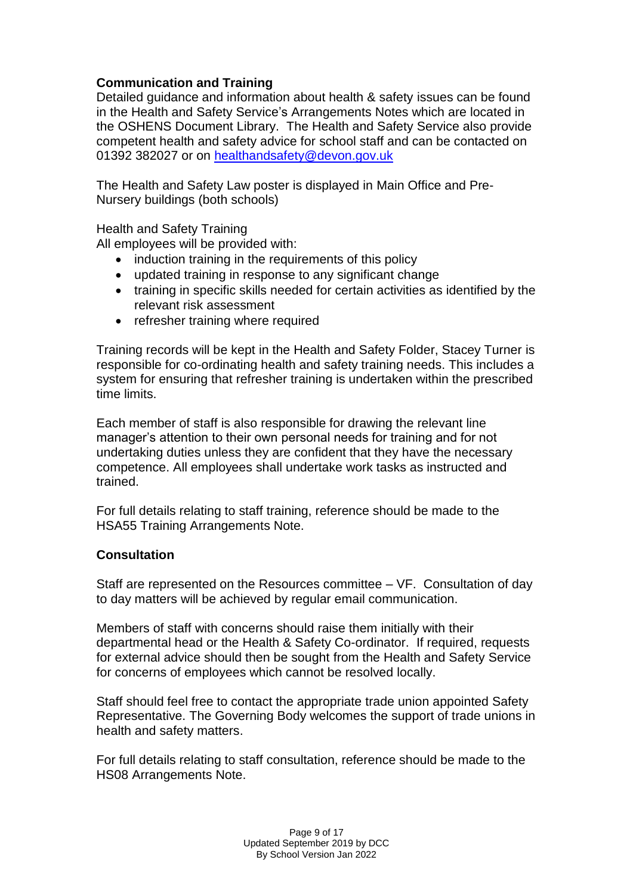# **Communication and Training**

Detailed guidance and information about health & safety issues can be found in the Health and Safety Service's Arrangements Notes which are located in the OSHENS Document Library. The Health and Safety Service also provide competent health and safety advice for school staff and can be contacted on 01392 382027 or on [healthandsafety@devon.gov.uk](mailto:healthandsafety@devon.gov.uk)

The Health and Safety Law poster is displayed in Main Office and Pre-Nursery buildings (both schools)

Health and Safety Training

All employees will be provided with:

- induction training in the requirements of this policy
- updated training in response to any significant change
- training in specific skills needed for certain activities as identified by the relevant risk assessment
- refresher training where required

Training records will be kept in the Health and Safety Folder, Stacey Turner is responsible for co-ordinating health and safety training needs. This includes a system for ensuring that refresher training is undertaken within the prescribed time limits.

Each member of staff is also responsible for drawing the relevant line manager's attention to their own personal needs for training and for not undertaking duties unless they are confident that they have the necessary competence. All employees shall undertake work tasks as instructed and trained.

For full details relating to staff training, reference should be made to the HSA55 Training Arrangements Note.

## **Consultation**

Staff are represented on the Resources committee – VF. Consultation of day to day matters will be achieved by regular email communication.

Members of staff with concerns should raise them initially with their departmental head or the Health & Safety Co-ordinator. If required, requests for external advice should then be sought from the Health and Safety Service for concerns of employees which cannot be resolved locally.

Staff should feel free to contact the appropriate trade union appointed Safety Representative. The Governing Body welcomes the support of trade unions in health and safety matters.

For full details relating to staff consultation, reference should be made to the HS08 Arrangements Note.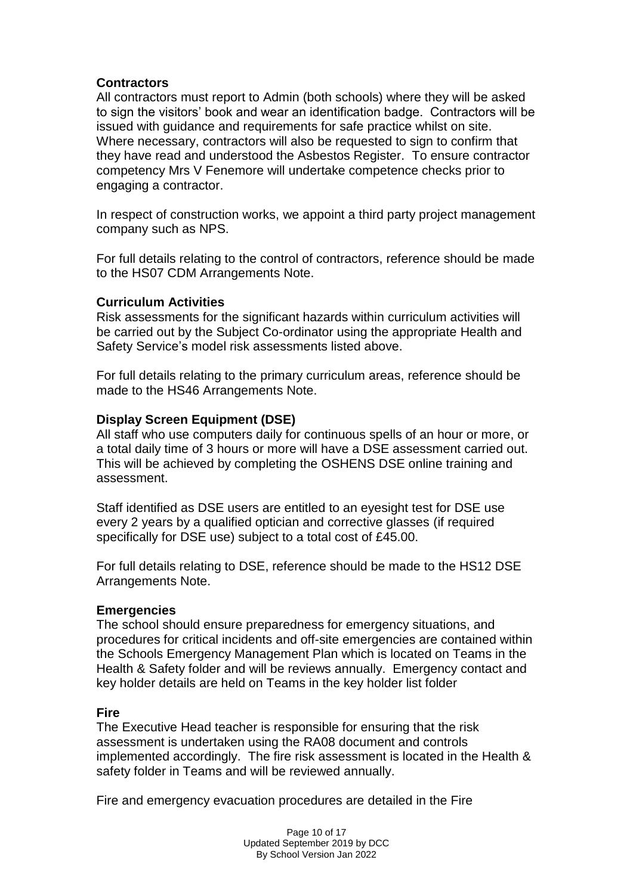## **Contractors**

All contractors must report to Admin (both schools) where they will be asked to sign the visitors' book and wear an identification badge. Contractors will be issued with guidance and requirements for safe practice whilst on site. Where necessary, contractors will also be requested to sign to confirm that they have read and understood the Asbestos Register. To ensure contractor competency Mrs V Fenemore will undertake competence checks prior to engaging a contractor.

In respect of construction works, we appoint a third party project management company such as NPS.

For full details relating to the control of contractors, reference should be made to the HS07 CDM Arrangements Note.

## **Curriculum Activities**

Risk assessments for the significant hazards within curriculum activities will be carried out by the Subject Co-ordinator using the appropriate Health and Safety Service's model risk assessments listed above.

For full details relating to the primary curriculum areas, reference should be made to the HS46 Arrangements Note.

## **Display Screen Equipment (DSE)**

All staff who use computers daily for continuous spells of an hour or more, or a total daily time of 3 hours or more will have a DSE assessment carried out. This will be achieved by completing the OSHENS DSE online training and assessment.

Staff identified as DSE users are entitled to an eyesight test for DSE use every 2 years by a qualified optician and corrective glasses (if required specifically for DSE use) subject to a total cost of £45.00.

For full details relating to DSE, reference should be made to the HS12 DSE Arrangements Note.

#### **Emergencies**

The school should ensure preparedness for emergency situations, and procedures for critical incidents and off-site emergencies are contained within the Schools Emergency Management Plan which is located on Teams in the Health & Safety folder and will be reviews annually. Emergency contact and key holder details are held on Teams in the key holder list folder

#### **Fire**

The Executive Head teacher is responsible for ensuring that the risk assessment is undertaken using the RA08 document and controls implemented accordingly. The fire risk assessment is located in the Health & safety folder in Teams and will be reviewed annually.

Fire and emergency evacuation procedures are detailed in the Fire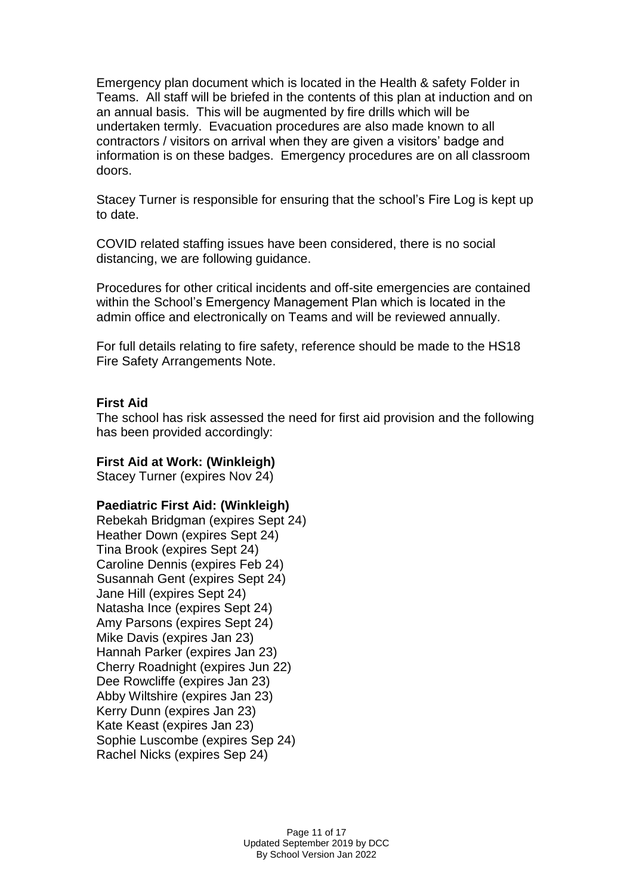Emergency plan document which is located in the Health & safety Folder in Teams. All staff will be briefed in the contents of this plan at induction and on an annual basis. This will be augmented by fire drills which will be undertaken termly. Evacuation procedures are also made known to all contractors / visitors on arrival when they are given a visitors' badge and information is on these badges. Emergency procedures are on all classroom doors.

Stacey Turner is responsible for ensuring that the school's Fire Log is kept up to date.

COVID related staffing issues have been considered, there is no social distancing, we are following guidance.

Procedures for other critical incidents and off-site emergencies are contained within the School's Emergency Management Plan which is located in the admin office and electronically on Teams and will be reviewed annually.

For full details relating to fire safety, reference should be made to the HS18 Fire Safety Arrangements Note.

## **First Aid**

The school has risk assessed the need for first aid provision and the following has been provided accordingly:

#### **First Aid at Work: (Winkleigh)**

Stacey Turner (expires Nov 24)

## **Paediatric First Aid: (Winkleigh)**

Rebekah Bridgman (expires Sept 24) Heather Down (expires Sept 24) Tina Brook (expires Sept 24) Caroline Dennis (expires Feb 24) Susannah Gent (expires Sept 24) Jane Hill (expires Sept 24) Natasha Ince (expires Sept 24) Amy Parsons (expires Sept 24) Mike Davis (expires Jan 23) Hannah Parker (expires Jan 23) Cherry Roadnight (expires Jun 22) Dee Rowcliffe (expires Jan 23) Abby Wiltshire (expires Jan 23) Kerry Dunn (expires Jan 23) Kate Keast (expires Jan 23) Sophie Luscombe (expires Sep 24) Rachel Nicks (expires Sep 24)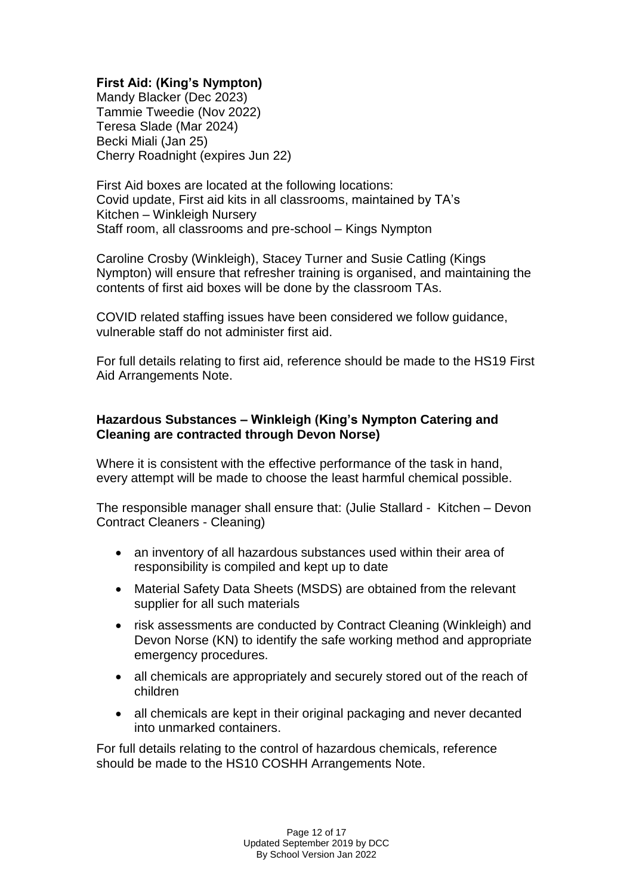# **First Aid: (King's Nympton)**

Mandy Blacker (Dec 2023) Tammie Tweedie (Nov 2022) Teresa Slade (Mar 2024) Becki Miali (Jan 25) Cherry Roadnight (expires Jun 22)

First Aid boxes are located at the following locations: Covid update, First aid kits in all classrooms, maintained by TA's Kitchen – Winkleigh Nursery Staff room, all classrooms and pre-school – Kings Nympton

Caroline Crosby (Winkleigh), Stacey Turner and Susie Catling (Kings Nympton) will ensure that refresher training is organised, and maintaining the contents of first aid boxes will be done by the classroom TAs.

COVID related staffing issues have been considered we follow guidance, vulnerable staff do not administer first aid.

For full details relating to first aid, reference should be made to the HS19 First Aid Arrangements Note.

## **Hazardous Substances – Winkleigh (King's Nympton Catering and Cleaning are contracted through Devon Norse)**

Where it is consistent with the effective performance of the task in hand, every attempt will be made to choose the least harmful chemical possible.

The responsible manager shall ensure that: (Julie Stallard - Kitchen – Devon Contract Cleaners - Cleaning)

- an inventory of all hazardous substances used within their area of responsibility is compiled and kept up to date
- Material Safety Data Sheets (MSDS) are obtained from the relevant supplier for all such materials
- risk assessments are conducted by Contract Cleaning (Winkleigh) and Devon Norse (KN) to identify the safe working method and appropriate emergency procedures.
- all chemicals are appropriately and securely stored out of the reach of children
- all chemicals are kept in their original packaging and never decanted into unmarked containers.

For full details relating to the control of hazardous chemicals, reference should be made to the HS10 COSHH Arrangements Note.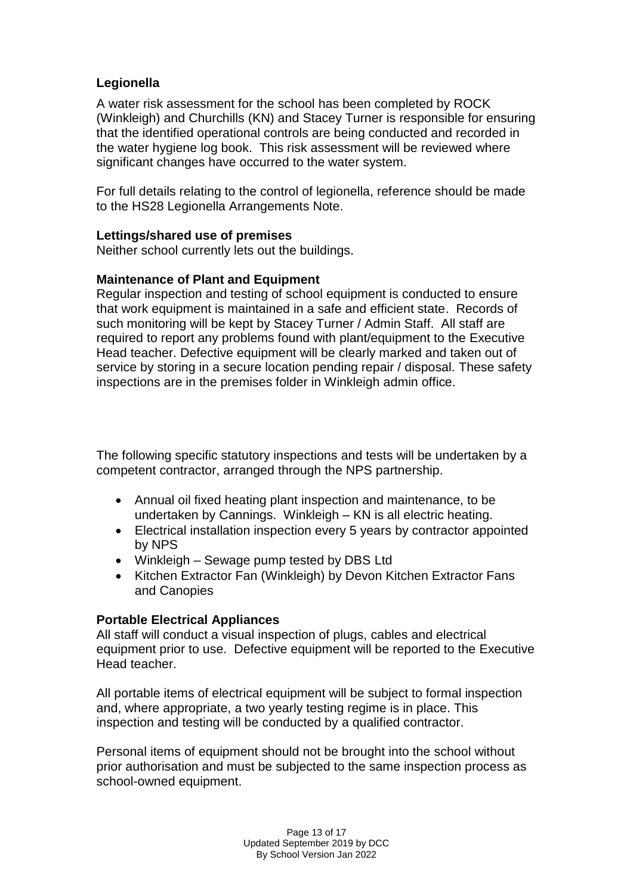# **Legionella**

A water risk assessment for the school has been completed by ROCK (Winkleigh) and Churchills (KN) and Stacey Turner is responsible for ensuring that the identified operational controls are being conducted and recorded in the water hygiene log book. This risk assessment will be reviewed where significant changes have occurred to the water system.

For full details relating to the control of legionella, reference should be made to the HS28 Legionella Arrangements Note.

## **Lettings/shared use of premises**

Neither school currently lets out the buildings.

## **Maintenance of Plant and Equipment**

Regular inspection and testing of school equipment is conducted to ensure that work equipment is maintained in a safe and efficient state. Records of such monitoring will be kept by Stacey Turner / Admin Staff. All staff are required to report any problems found with plant/equipment to the Executive Head teacher. Defective equipment will be clearly marked and taken out of service by storing in a secure location pending repair / disposal. These safety inspections are in the premises folder in Winkleigh admin office.

The following specific statutory inspections and tests will be undertaken by a competent contractor, arranged through the NPS partnership.

- Annual oil fixed heating plant inspection and maintenance, to be undertaken by Cannings. Winkleigh – KN is all electric heating.
- Electrical installation inspection every 5 years by contractor appointed by NPS
- Winkleigh Sewage pump tested by DBS Ltd
- Kitchen Extractor Fan (Winkleigh) by Devon Kitchen Extractor Fans and Canopies

## **Portable Electrical Appliances**

All staff will conduct a visual inspection of plugs, cables and electrical equipment prior to use. Defective equipment will be reported to the Executive Head teacher.

All portable items of electrical equipment will be subject to formal inspection and, where appropriate, a two yearly testing regime is in place. This inspection and testing will be conducted by a qualified contractor.

Personal items of equipment should not be brought into the school without prior authorisation and must be subjected to the same inspection process as school-owned equipment.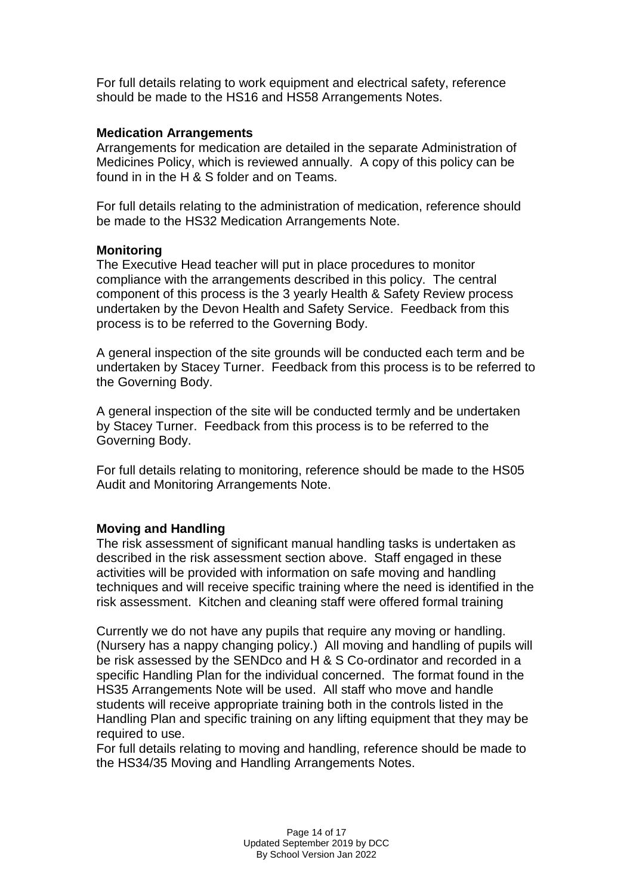For full details relating to work equipment and electrical safety, reference should be made to the HS16 and HS58 Arrangements Notes.

#### **Medication Arrangements**

Arrangements for medication are detailed in the separate Administration of Medicines Policy, which is reviewed annually. A copy of this policy can be found in in the H & S folder and on Teams.

For full details relating to the administration of medication, reference should be made to the HS32 Medication Arrangements Note.

## **Monitoring**

The Executive Head teacher will put in place procedures to monitor compliance with the arrangements described in this policy. The central component of this process is the 3 yearly Health & Safety Review process undertaken by the Devon Health and Safety Service. Feedback from this process is to be referred to the Governing Body.

A general inspection of the site grounds will be conducted each term and be undertaken by Stacey Turner. Feedback from this process is to be referred to the Governing Body.

A general inspection of the site will be conducted termly and be undertaken by Stacey Turner. Feedback from this process is to be referred to the Governing Body.

For full details relating to monitoring, reference should be made to the HS05 Audit and Monitoring Arrangements Note.

## **Moving and Handling**

The risk assessment of significant manual handling tasks is undertaken as described in the risk assessment section above. Staff engaged in these activities will be provided with information on safe moving and handling techniques and will receive specific training where the need is identified in the risk assessment. Kitchen and cleaning staff were offered formal training

Currently we do not have any pupils that require any moving or handling. (Nursery has a nappy changing policy.) All moving and handling of pupils will be risk assessed by the SENDco and H & S Co-ordinator and recorded in a specific Handling Plan for the individual concerned. The format found in the HS35 Arrangements Note will be used. All staff who move and handle students will receive appropriate training both in the controls listed in the Handling Plan and specific training on any lifting equipment that they may be required to use.

For full details relating to moving and handling, reference should be made to the HS34/35 Moving and Handling Arrangements Notes.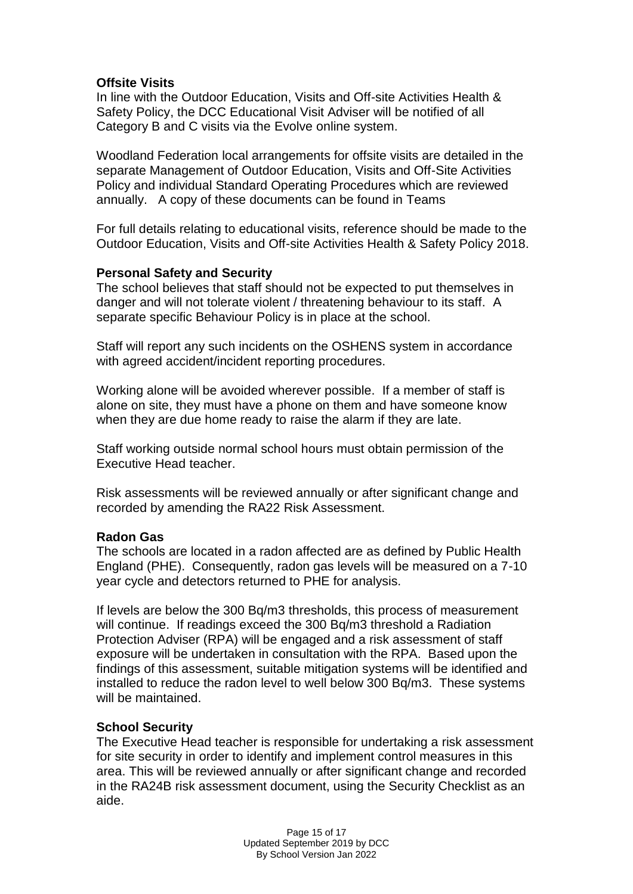## **Offsite Visits**

In line with the Outdoor Education, Visits and Off-site Activities Health & Safety Policy, the DCC Educational Visit Adviser will be notified of all Category B and C visits via the Evolve online system.

Woodland Federation local arrangements for offsite visits are detailed in the separate Management of Outdoor Education, Visits and Off-Site Activities Policy and individual Standard Operating Procedures which are reviewed annually. A copy of these documents can be found in Teams

For full details relating to educational visits, reference should be made to the Outdoor Education, Visits and Off-site Activities Health & Safety Policy 2018.

## **Personal Safety and Security**

The school believes that staff should not be expected to put themselves in danger and will not tolerate violent / threatening behaviour to its staff. A separate specific Behaviour Policy is in place at the school.

Staff will report any such incidents on the OSHENS system in accordance with agreed accident/incident reporting procedures.

Working alone will be avoided wherever possible. If a member of staff is alone on site, they must have a phone on them and have someone know when they are due home ready to raise the alarm if they are late.

Staff working outside normal school hours must obtain permission of the Executive Head teacher.

Risk assessments will be reviewed annually or after significant change and recorded by amending the RA22 Risk Assessment.

#### **Radon Gas**

The schools are located in a radon affected are as defined by Public Health England (PHE). Consequently, radon gas levels will be measured on a 7-10 year cycle and detectors returned to PHE for analysis.

If levels are below the 300 Bq/m3 thresholds, this process of measurement will continue. If readings exceed the 300 Bg/m3 threshold a Radiation Protection Adviser (RPA) will be engaged and a risk assessment of staff exposure will be undertaken in consultation with the RPA. Based upon the findings of this assessment, suitable mitigation systems will be identified and installed to reduce the radon level to well below 300 Bq/m3. These systems will be maintained.

## **School Security**

The Executive Head teacher is responsible for undertaking a risk assessment for site security in order to identify and implement control measures in this area. This will be reviewed annually or after significant change and recorded in the RA24B risk assessment document, using the Security Checklist as an aide.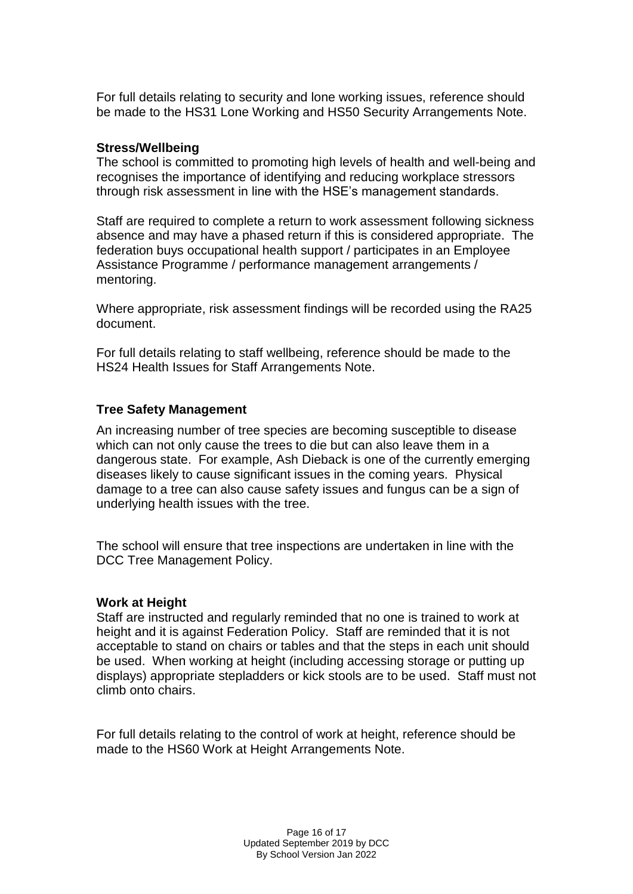For full details relating to security and lone working issues, reference should be made to the HS31 Lone Working and HS50 Security Arrangements Note.

### **Stress/Wellbeing**

The school is committed to promoting high levels of health and well-being and recognises the importance of identifying and reducing workplace stressors through risk assessment in line with the HSE's management standards.

Staff are required to complete a return to work assessment following sickness absence and may have a phased return if this is considered appropriate. The federation buys occupational health support / participates in an Employee Assistance Programme / performance management arrangements / mentoring.

Where appropriate, risk assessment findings will be recorded using the RA25 document.

For full details relating to staff wellbeing, reference should be made to the HS24 Health Issues for Staff Arrangements Note.

## **Tree Safety Management**

An increasing number of tree species are becoming susceptible to disease which can not only cause the trees to die but can also leave them in a dangerous state. For example, Ash Dieback is one of the currently emerging diseases likely to cause significant issues in the coming years. Physical damage to a tree can also cause safety issues and fungus can be a sign of underlying health issues with the tree.

The school will ensure that tree inspections are undertaken in line with the DCC Tree Management Policy.

## **Work at Height**

Staff are instructed and regularly reminded that no one is trained to work at height and it is against Federation Policy. Staff are reminded that it is not acceptable to stand on chairs or tables and that the steps in each unit should be used. When working at height (including accessing storage or putting up displays) appropriate stepladders or kick stools are to be used. Staff must not climb onto chairs.

For full details relating to the control of work at height, reference should be made to the HS60 Work at Height Arrangements Note.